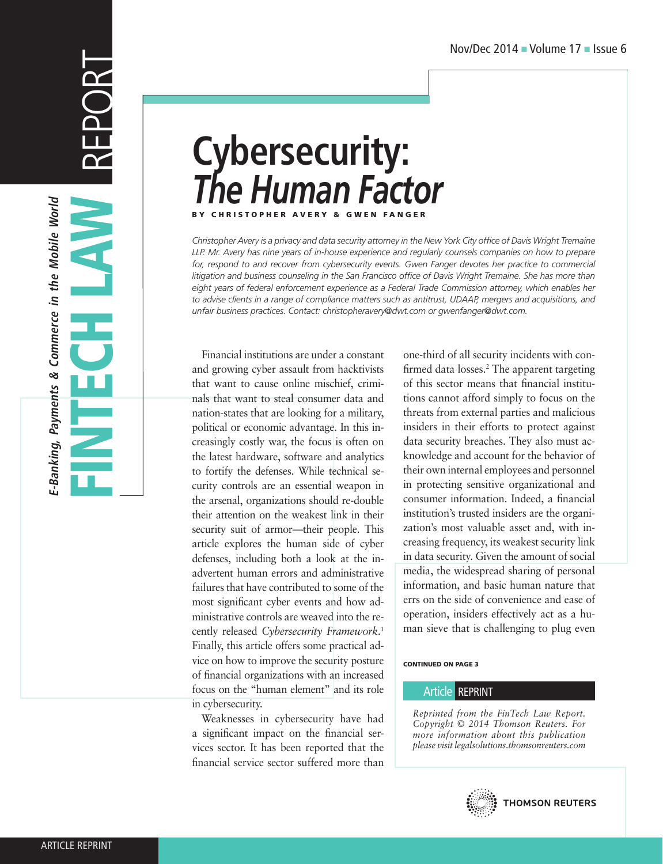# **Cybersecurity:**  *The Human Factor* **BY CHRISTOPHER AVERY &**

*Christopher Avery is a privacy and data security attorney in the New York City office of Davis Wright Tremaine LLP. Mr. Avery has nine years of in-house experience and regularly counsels companies on how to prepare*  for, respond to and recover from cybersecurity events. Gwen Fanger devotes her practice to commercial *litigation and business counseling in the San Francisco office of Davis Wright Tremaine. She has more than*  eight years of federal enforcement experience as a Federal Trade Commission attorney, which enables her *to advise clients in a range of compliance matters such as antitrust, UDAAP, mergers and acquisitions, and unfair business practices. Contact: christopheravery@dwt.com or gwenfanger@dwt.com.*

Financial institutions are under a constant and growing cyber assault from hacktivists that want to cause online mischief, criminals that want to steal consumer data and nation-states that are looking for a military, political or economic advantage. In this increasingly costly war, the focus is often on the latest hardware, software and analytics to fortify the defenses. While technical security controls are an essential weapon in the arsenal, organizations should re-double their attention on the weakest link in their security suit of armor—their people. This article explores the human side of cyber defenses, including both a look at the inadvertent human errors and administrative failures that have contributed to some of the most significant cyber events and how administrative controls are weaved into the recently released *Cybersecurity Framework*. 1 Finally, this article offers some practical advice on how to improve the security posture of financial organizations with an increased focus on the "human element" and its role in cybersecurity.

Weaknesses in cybersecurity have had a significant impact on the financial services sector. It has been reported that the financial service sector suffered more than

one-third of all security incidents with confirmed data losses.2 The apparent targeting of this sector means that financial institutions cannot afford simply to focus on the threats from external parties and malicious insiders in their efforts to protect against data security breaches. They also must acknowledge and account for the behavior of their own internal employees and personnel in protecting sensitive organizational and consumer information. Indeed, a financial institution's trusted insiders are the organization's most valuable asset and, with increasing frequency, its weakest security link in data security. Given the amount of social media, the widespread sharing of personal information, and basic human nature that errs on the side of convenience and ease of operation, insiders effectively act as a human sieve that is challenging to plug even

#### CONTINUED ON PAGE 3

#### Article REPRINT

*Reprinted from the FinTech Law Report. Copyright © 2014 Thomson Reuters. For more information about this publication please visit legalsolutions.thomsonreuters.com*

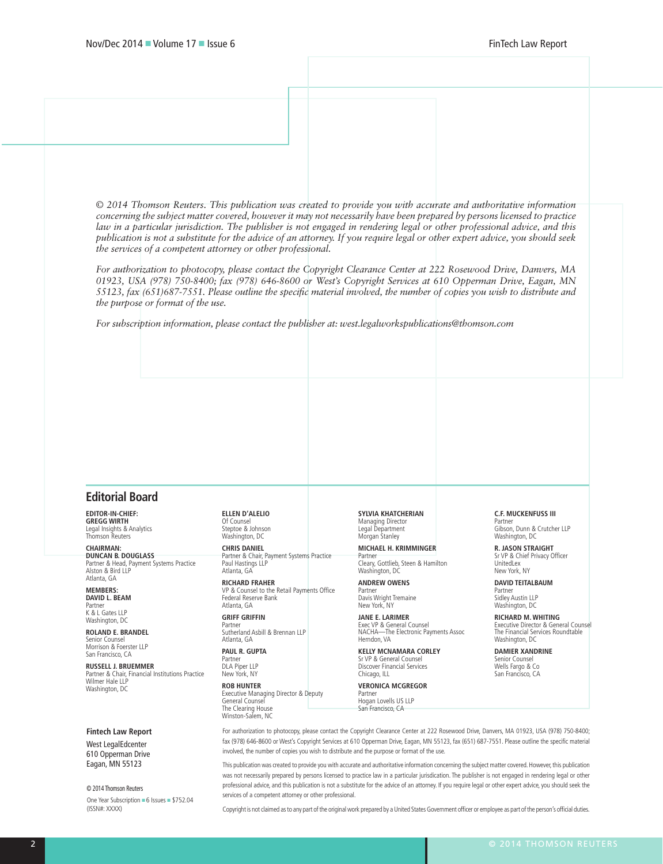*© 2014 Thomson Reuters. This publication was created to provide you with accurate and authoritative information concerning the subject matter covered, however it may not necessarily have been prepared by persons licensed to practice law in a particular jurisdiction. The publisher is not engaged in rendering legal or other professional advice, and this publication is not a substitute for the advice of an attorney. If you require legal or other expert advice, you should seek the services of a competent attorney or other professional.* 

*For authorization to photocopy, please contact the Copyright Clearance Center at 222 Rosewood Drive, Danvers, MA 01923, USA (978) 750-8400; fax (978) 646-8600 or West's Copyright Services at 610 Opperman Drive, Eagan, MN 55123, fax (651)687-7551. Please outline the specific material involved, the number of copies you wish to distribute and the purpose or format of the use.* 

*For subscription information, please contact the publisher at: west.legalworkspublications@thomson.com*

#### **Editorial Board**

**EDITOR-IN-CHIEF: GREGG WIRTH** Legal Insights & Analytics Thomson Reuters

**CHAIRMAN: DUNCAN B. DOUGLASS** Partner & Head, Payment Systems Practice Alston & Bird LLP Atlanta, GA

**MEMBERS: DAVID L. BEAM** Partner

K & L Gates LLP Washington, DC **ROLAND E. BRANDEL**

Senior Counsel Morrison & Foerster LLP San Francisco, CA

**RUSSELL J. BRUEMMER** Partner & Chair, Financial Institutions Practice Wilmer Hale LLP Washington, DC

#### **Fintech Law Report**

West LegalEdcenter 610 Opperman Drive Eagan, MN 55123

One Year Subscription = 6 Issues = \$752.04 (ISSN#: XXXX) © 2014 Thomson Reuters

**ELLEN D'ALELIO** Of Counsel Steptoe & Johnson Washington, DC

**CHRIS DANIEL** Partner & Chair, Payment Systems Practice Paul Hastings LLP Atlanta, GA

**RICHARD FRAHER** VP & Counsel to the Retail Payments Office Federal Reserve Bank Atlanta, GA

**GRIFF GRIFFIN** Partner Sutherland Asbill & Brennan LLP Atlanta, GA

**PAUL R. GUPTA** Partner DLA Piper LLP New York, NY

**ROB HUNTER** Executive Managing Director & Deputy General Counsel The Clearing House Winston-Salem, NC

**SYLVIA KHATCHERIAN** Managing Director Legal Department Morgan Stanley

**MICHAEL H. KRIMMINGER** Partner Cleary, Gottlieb, Steen & Hamilton Washington, DC

**ANDREW OWENS** Partner Davis Wright Tremaine New York, NY

**JANE E. LARIMER** Exec VP & General Counsel NACHA—The Electronic Payments Assoc Herndon, VA

**KELLY MCNAMARA CORLEY** Sr VP & General Counse Discover Financial Services Chicago, ILL

**VERONICA MCGREGOR** Partner Hogan Lovells US LLP San Francisco, CA

**C.F. MUCKENFUSS III** Partner Gibson, Dunn & Crutcher LLP

Washington, DC **R. JASON STRAIGHT** Sr VP & Chief Privacy Officer

UnitedLex New York, NY **DAVID TEITALBAUM**

Partner Sidley Austin LLP Washington, DC

**RICHARD M. WHITING** Executive Director & General Counsel The Financial Services Roundtable Washington, DC

**DAMIER XANDRINE** Senior Counse Wells Fargo & Co San Francisco, CA

For authorization to photocopy, please contact the Copyright Clearance Center at 222 Rosewood Drive, Danvers, MA 01923, USA (978) 750-8400; fax (978) 646-8600 or West's Copyright Services at 610 Opperman Drive, Eagan, MN 55123, fax (651) 687-7551. Please outline the specific material involved, the number of copies you wish to distribute and the purpose or format of the use.

This publication was created to provide you with accurate and authoritative information concerning the subject matter covered. However, this publication was not necessarily prepared by persons licensed to practice law in a particular jurisdication. The publisher is not engaged in rendering legal or other professional advice, and this publication is not a substitute for the advice of an attorney. If you require legal or other expert advice, you should seek the services of a competent attorney or other professional.

Copyright is not claimed as to any part of the original work prepared by a United States Government officer or employee as part of the person's official duties.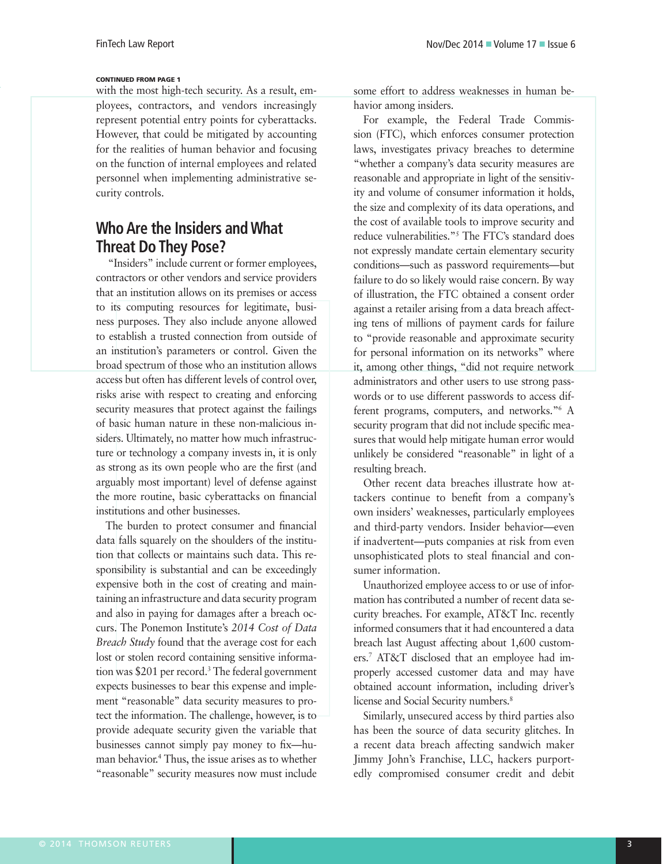#### CONTINUED FROM PAGE 1

with the most high-tech security. As a result, employees, contractors, and vendors increasingly represent potential entry points for cyberattacks. However, that could be mitigated by accounting for the realities of human behavior and focusing on the function of internal employees and related personnel when implementing administrative security controls.

# **Who Are the Insiders and What Threat Do They Pose?**

 "Insiders" include current or former employees, contractors or other vendors and service providers that an institution allows on its premises or access to its computing resources for legitimate, business purposes. They also include anyone allowed to establish a trusted connection from outside of an institution's parameters or control. Given the broad spectrum of those who an institution allows access but often has different levels of control over, risks arise with respect to creating and enforcing security measures that protect against the failings of basic human nature in these non-malicious insiders. Ultimately, no matter how much infrastructure or technology a company invests in, it is only as strong as its own people who are the first (and arguably most important) level of defense against the more routine, basic cyberattacks on financial institutions and other businesses.

The burden to protect consumer and financial data falls squarely on the shoulders of the institution that collects or maintains such data. This responsibility is substantial and can be exceedingly expensive both in the cost of creating and maintaining an infrastructure and data security program and also in paying for damages after a breach occurs. The Ponemon Institute's *2014 Cost of Data Breach Study* found that the average cost for each lost or stolen record containing sensitive information was \$201 per record.3 The federal government expects businesses to bear this expense and implement "reasonable" data security measures to protect the information. The challenge, however, is to provide adequate security given the variable that businesses cannot simply pay money to fix—human behavior.4 Thus, the issue arises as to whether "reasonable" security measures now must include

some effort to address weaknesses in human behavior among insiders.

For example, the Federal Trade Commission (FTC), which enforces consumer protection laws, investigates privacy breaches to determine "whether a company's data security measures are reasonable and appropriate in light of the sensitivity and volume of consumer information it holds, the size and complexity of its data operations, and the cost of available tools to improve security and reduce vulnerabilities."5 The FTC's standard does not expressly mandate certain elementary security conditions—such as password requirements—but failure to do so likely would raise concern. By way of illustration, the FTC obtained a consent order against a retailer arising from a data breach affecting tens of millions of payment cards for failure to "provide reasonable and approximate security for personal information on its networks" where it, among other things, "did not require network administrators and other users to use strong passwords or to use different passwords to access different programs, computers, and networks."6 A security program that did not include specific measures that would help mitigate human error would unlikely be considered "reasonable" in light of a resulting breach.

Other recent data breaches illustrate how attackers continue to benefit from a company's own insiders' weaknesses, particularly employees and third-party vendors. Insider behavior—even if inadvertent—puts companies at risk from even unsophisticated plots to steal financial and consumer information.

Unauthorized employee access to or use of information has contributed a number of recent data security breaches. For example, AT&T Inc. recently informed consumers that it had encountered a data breach last August affecting about 1,600 customers.7 AT&T disclosed that an employee had improperly accessed customer data and may have obtained account information, including driver's license and Social Security numbers.<sup>8</sup>

Similarly, unsecured access by third parties also has been the source of data security glitches. In a recent data breach affecting sandwich maker Jimmy John's Franchise, LLC, hackers purportedly compromised consumer credit and debit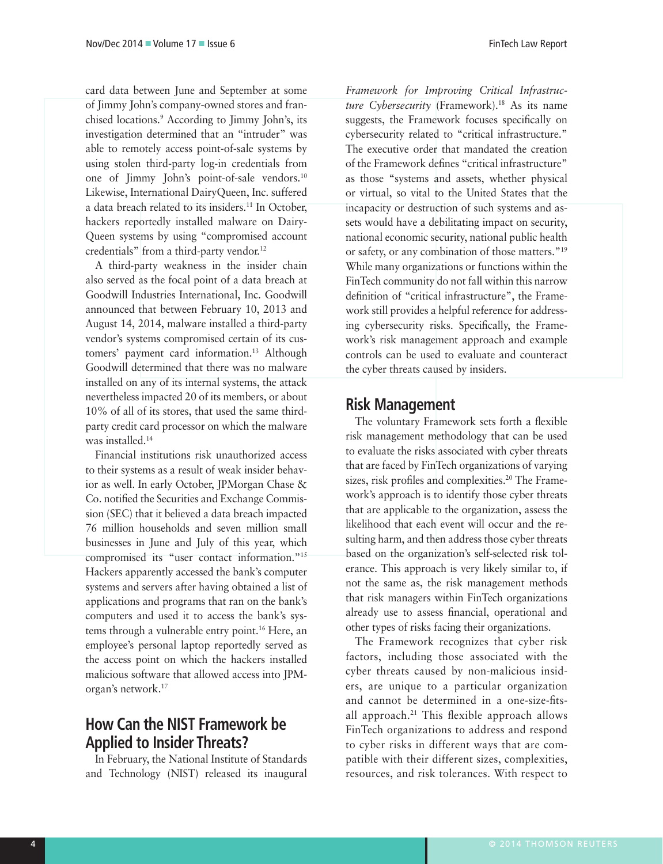card data between June and September at some of Jimmy John's company-owned stores and franchised locations.9 According to Jimmy John's, its investigation determined that an "intruder" was able to remotely access point-of-sale systems by using stolen third-party log-in credentials from one of Jimmy John's point-of-sale vendors.10 Likewise, International DairyQueen, Inc. suffered a data breach related to its insiders.<sup>11</sup> In October, hackers reportedly installed malware on Dairy-Queen systems by using "compromised account credentials" from a third-party vendor.<sup>12</sup>

A third-party weakness in the insider chain also served as the focal point of a data breach at Goodwill Industries International, Inc. Goodwill announced that between February 10, 2013 and August 14, 2014, malware installed a third-party vendor's systems compromised certain of its customers' payment card information.<sup>13</sup> Although Goodwill determined that there was no malware installed on any of its internal systems, the attack nevertheless impacted 20 of its members, or about 10% of all of its stores, that used the same thirdparty credit card processor on which the malware was installed.14

Financial institutions risk unauthorized access to their systems as a result of weak insider behavior as well. In early October, JPMorgan Chase & Co. notified the Securities and Exchange Commission (SEC) that it believed a data breach impacted 76 million households and seven million small businesses in June and July of this year, which compromised its "user contact information."15 Hackers apparently accessed the bank's computer systems and servers after having obtained a list of applications and programs that ran on the bank's computers and used it to access the bank's systems through a vulnerable entry point.<sup>16</sup> Here, an employee's personal laptop reportedly served as the access point on which the hackers installed malicious software that allowed access into JPMorgan's network.17

# **How Can the NIST Framework be Applied to Insider Threats?**

In February, the National Institute of Standards and Technology (NIST) released its inaugural

*Framework for Improving Critical Infrastructure Cybersecurity* (Framework).18 As its name suggests, the Framework focuses specifically on cybersecurity related to "critical infrastructure." The executive order that mandated the creation of the Framework defines "critical infrastructure" as those "systems and assets, whether physical or virtual, so vital to the United States that the incapacity or destruction of such systems and assets would have a debilitating impact on security, national economic security, national public health or safety, or any combination of those matters."19 While many organizations or functions within the FinTech community do not fall within this narrow definition of "critical infrastructure", the Framework still provides a helpful reference for addressing cybersecurity risks. Specifically, the Framework's risk management approach and example controls can be used to evaluate and counteract the cyber threats caused by insiders.

## **Risk Management**

The voluntary Framework sets forth a flexible risk management methodology that can be used to evaluate the risks associated with cyber threats that are faced by FinTech organizations of varying sizes, risk profiles and complexities.<sup>20</sup> The Framework's approach is to identify those cyber threats that are applicable to the organization, assess the likelihood that each event will occur and the resulting harm, and then address those cyber threats based on the organization's self-selected risk tolerance. This approach is very likely similar to, if not the same as, the risk management methods that risk managers within FinTech organizations already use to assess financial, operational and other types of risks facing their organizations.

The Framework recognizes that cyber risk factors, including those associated with the cyber threats caused by non-malicious insiders, are unique to a particular organization and cannot be determined in a one-size-fitsall approach.21 This flexible approach allows FinTech organizations to address and respond to cyber risks in different ways that are compatible with their different sizes, complexities, resources, and risk tolerances. With respect to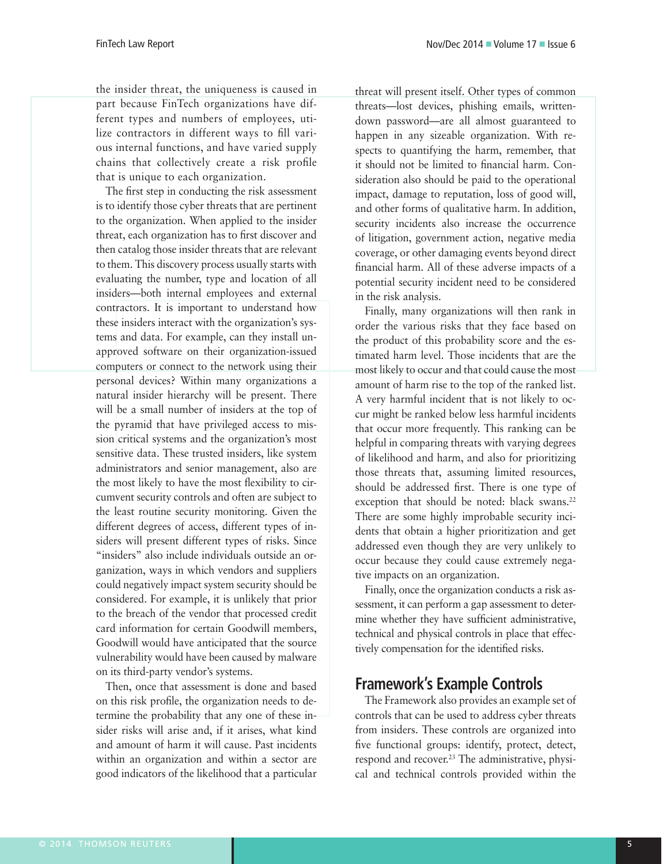the insider threat, the uniqueness is caused in part because FinTech organizations have different types and numbers of employees, utilize contractors in different ways to fill various internal functions, and have varied supply chains that collectively create a risk profile that is unique to each organization.

The first step in conducting the risk assessment is to identify those cyber threats that are pertinent to the organization. When applied to the insider threat, each organization has to first discover and then catalog those insider threats that are relevant to them. This discovery process usually starts with evaluating the number, type and location of all insiders—both internal employees and external contractors. It is important to understand how these insiders interact with the organization's systems and data. For example, can they install unapproved software on their organization-issued computers or connect to the network using their personal devices? Within many organizations a natural insider hierarchy will be present. There will be a small number of insiders at the top of the pyramid that have privileged access to mission critical systems and the organization's most sensitive data. These trusted insiders, like system administrators and senior management, also are the most likely to have the most flexibility to circumvent security controls and often are subject to the least routine security monitoring. Given the different degrees of access, different types of insiders will present different types of risks. Since "insiders" also include individuals outside an organization, ways in which vendors and suppliers could negatively impact system security should be considered. For example, it is unlikely that prior to the breach of the vendor that processed credit card information for certain Goodwill members, Goodwill would have anticipated that the source vulnerability would have been caused by malware on its third-party vendor's systems.

Then, once that assessment is done and based on this risk profile, the organization needs to determine the probability that any one of these insider risks will arise and, if it arises, what kind and amount of harm it will cause. Past incidents within an organization and within a sector are good indicators of the likelihood that a particular threat will present itself. Other types of common threats—lost devices, phishing emails, writtendown password—are all almost guaranteed to happen in any sizeable organization. With respects to quantifying the harm, remember, that it should not be limited to financial harm. Consideration also should be paid to the operational impact, damage to reputation, loss of good will, and other forms of qualitative harm. In addition, security incidents also increase the occurrence of litigation, government action, negative media coverage, or other damaging events beyond direct financial harm. All of these adverse impacts of a potential security incident need to be considered in the risk analysis.

Finally, many organizations will then rank in order the various risks that they face based on the product of this probability score and the estimated harm level. Those incidents that are the most likely to occur and that could cause the most amount of harm rise to the top of the ranked list. A very harmful incident that is not likely to occur might be ranked below less harmful incidents that occur more frequently. This ranking can be helpful in comparing threats with varying degrees of likelihood and harm, and also for prioritizing those threats that, assuming limited resources, should be addressed first. There is one type of exception that should be noted: black swans.<sup>22</sup> There are some highly improbable security incidents that obtain a higher prioritization and get addressed even though they are very unlikely to occur because they could cause extremely negative impacts on an organization.

Finally, once the organization conducts a risk assessment, it can perform a gap assessment to determine whether they have sufficient administrative, technical and physical controls in place that effectively compensation for the identified risks.

# **Framework's Example Controls**

The Framework also provides an example set of controls that can be used to address cyber threats from insiders. These controls are organized into five functional groups: identify, protect, detect, respond and recover.<sup>23</sup> The administrative, physical and technical controls provided within the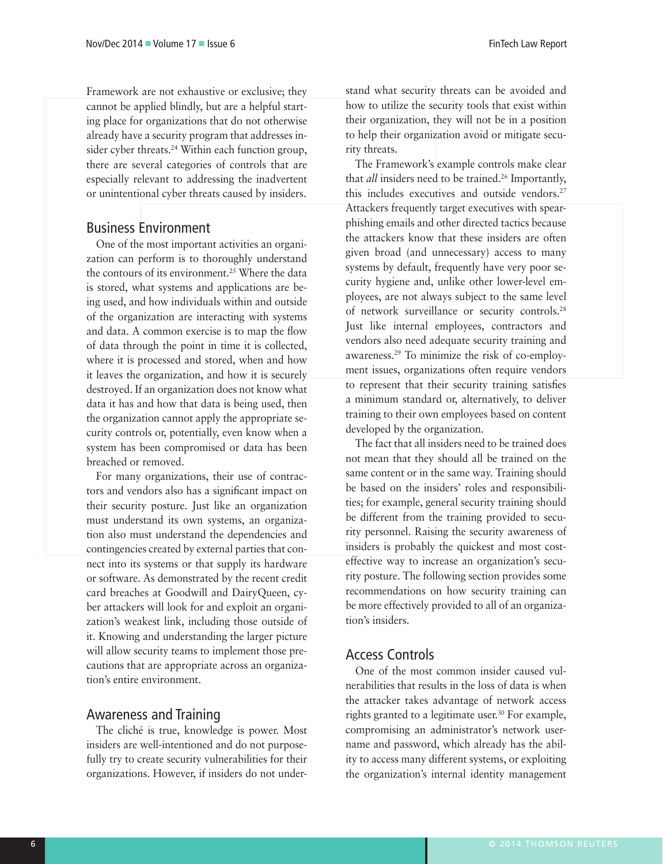Framework are not exhaustive or exclusive; they cannot be applied blindly, but are a helpful starting place for organizations that do not otherwise already have a security program that addresses insider cyber threats.<sup>24</sup> Within each function group, there are several categories of controls that are especially relevant to addressing the inadvertent or unintentional cyber threats caused by insiders.

## Business Environment

One of the most important activities an organization can perform is to thoroughly understand the contours of its environment.<sup>25</sup> Where the data is stored, what systems and applications are being used, and how individuals within and outside of the organization are interacting with systems and data. A common exercise is to map the flow of data through the point in time it is collected, where it is processed and stored, when and how it leaves the organization, and how it is securely destroyed. If an organization does not know what data it has and how that data is being used, then the organization cannot apply the appropriate security controls or, potentially, even know when a system has been compromised or data has been breached or removed.

For many organizations, their use of contractors and vendors also has a significant impact on their security posture. Just like an organization must understand its own systems, an organization also must understand the dependencies and contingencies created by external parties that connect into its systems or that supply its hardware or software. As demonstrated by the recent credit card breaches at Goodwill and DairyQueen, cyber attackers will look for and exploit an organization's weakest link, including those outside of it. Knowing and understanding the larger picture will allow security teams to implement those precautions that are appropriate across an organization's entire environment.

## Awareness and Training

The cliché is true, knowledge is power. Most insiders are well-intentioned and do not purposefully try to create security vulnerabilities for their organizations. However, if insiders do not understand what security threats can be avoided and how to utilize the security tools that exist within their organization, they will not be in a position to help their organization avoid or mitigate security threats.

The Framework's example controls make clear that *all* insiders need to be trained.<sup>26</sup> Importantly, this includes executives and outside vendors.<sup>27</sup> Attackers frequently target executives with spearphishing emails and other directed tactics because the attackers know that these insiders are often given broad (and unnecessary) access to many systems by default, frequently have very poor security hygiene and, unlike other lower-level employees, are not always subject to the same level of network surveillance or security controls.28 Just like internal employees, contractors and vendors also need adequate security training and awareness.29 To minimize the risk of co-employment issues, organizations often require vendors to represent that their security training satisfies a minimum standard or, alternatively, to deliver training to their own employees based on content developed by the organization.

The fact that all insiders need to be trained does not mean that they should all be trained on the same content or in the same way. Training should be based on the insiders' roles and responsibilities; for example, general security training should be different from the training provided to security personnel. Raising the security awareness of insiders is probably the quickest and most costeffective way to increase an organization's security posture. The following section provides some recommendations on how security training can be more effectively provided to all of an organization's insiders.

## Access Controls

One of the most common insider caused vulnerabilities that results in the loss of data is when the attacker takes advantage of network access rights granted to a legitimate user.<sup>30</sup> For example, compromising an administrator's network username and password, which already has the ability to access many different systems, or exploiting the organization's internal identity management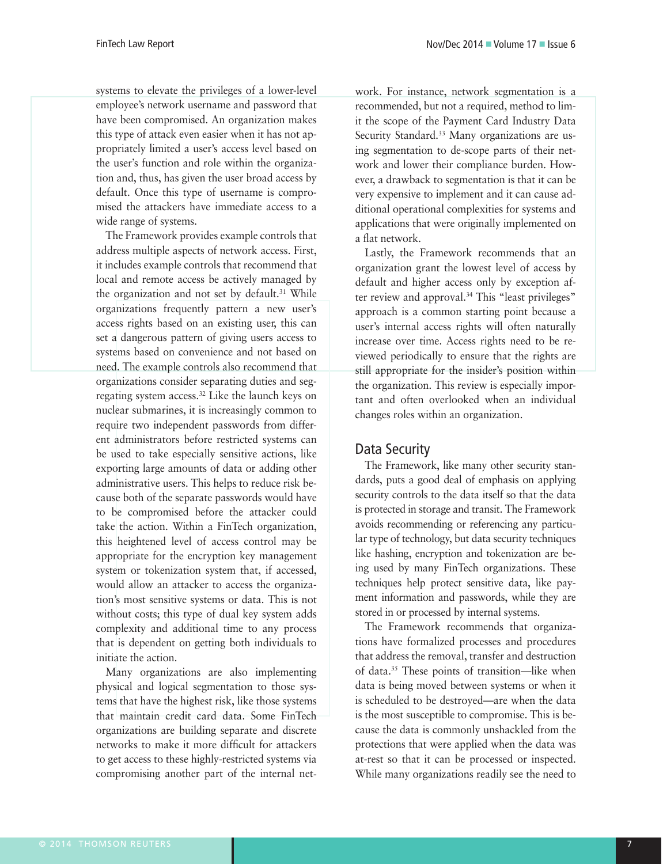systems to elevate the privileges of a lower-level employee's network username and password that have been compromised. An organization makes this type of attack even easier when it has not appropriately limited a user's access level based on the user's function and role within the organization and, thus, has given the user broad access by default. Once this type of username is compromised the attackers have immediate access to a wide range of systems.

The Framework provides example controls that address multiple aspects of network access. First, it includes example controls that recommend that local and remote access be actively managed by the organization and not set by default.<sup>31</sup> While organizations frequently pattern a new user's access rights based on an existing user, this can set a dangerous pattern of giving users access to systems based on convenience and not based on need. The example controls also recommend that organizations consider separating duties and segregating system access.32 Like the launch keys on nuclear submarines, it is increasingly common to require two independent passwords from different administrators before restricted systems can be used to take especially sensitive actions, like exporting large amounts of data or adding other administrative users. This helps to reduce risk because both of the separate passwords would have to be compromised before the attacker could take the action. Within a FinTech organization, this heightened level of access control may be appropriate for the encryption key management system or tokenization system that, if accessed, would allow an attacker to access the organization's most sensitive systems or data. This is not without costs; this type of dual key system adds complexity and additional time to any process that is dependent on getting both individuals to initiate the action.

Many organizations are also implementing physical and logical segmentation to those systems that have the highest risk, like those systems that maintain credit card data. Some FinTech organizations are building separate and discrete networks to make it more difficult for attackers to get access to these highly-restricted systems via compromising another part of the internal network. For instance, network segmentation is a recommended, but not a required, method to limit the scope of the Payment Card Industry Data Security Standard.<sup>33</sup> Many organizations are using segmentation to de-scope parts of their network and lower their compliance burden. However, a drawback to segmentation is that it can be very expensive to implement and it can cause additional operational complexities for systems and applications that were originally implemented on a flat network.

Lastly, the Framework recommends that an organization grant the lowest level of access by default and higher access only by exception after review and approval.<sup>34</sup> This "least privileges" approach is a common starting point because a user's internal access rights will often naturally increase over time. Access rights need to be reviewed periodically to ensure that the rights are still appropriate for the insider's position within the organization. This review is especially important and often overlooked when an individual changes roles within an organization.

## Data Security

The Framework, like many other security standards, puts a good deal of emphasis on applying security controls to the data itself so that the data is protected in storage and transit. The Framework avoids recommending or referencing any particular type of technology, but data security techniques like hashing, encryption and tokenization are being used by many FinTech organizations. These techniques help protect sensitive data, like payment information and passwords, while they are stored in or processed by internal systems.

The Framework recommends that organizations have formalized processes and procedures that address the removal, transfer and destruction of data.35 These points of transition—like when data is being moved between systems or when it is scheduled to be destroyed—are when the data is the most susceptible to compromise. This is because the data is commonly unshackled from the protections that were applied when the data was at-rest so that it can be processed or inspected. While many organizations readily see the need to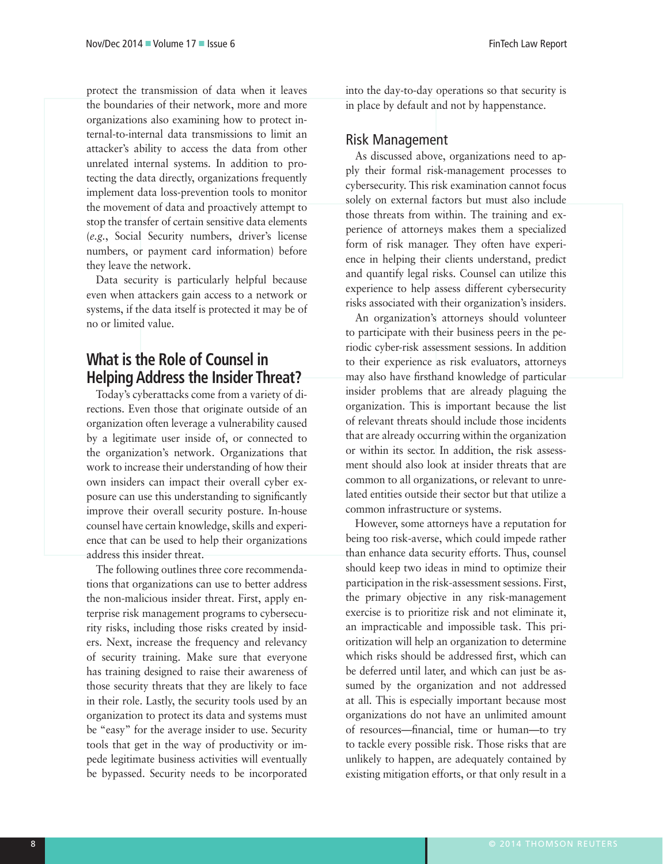protect the transmission of data when it leaves the boundaries of their network, more and more organizations also examining how to protect internal-to-internal data transmissions to limit an attacker's ability to access the data from other unrelated internal systems. In addition to protecting the data directly, organizations frequently implement data loss-prevention tools to monitor the movement of data and proactively attempt to stop the transfer of certain sensitive data elements (*e.g.*, Social Security numbers, driver's license numbers, or payment card information) before they leave the network.

Data security is particularly helpful because even when attackers gain access to a network or systems, if the data itself is protected it may be of no or limited value.

# **What is the Role of Counsel in Helping Address the Insider Threat?**

Today's cyberattacks come from a variety of directions. Even those that originate outside of an organization often leverage a vulnerability caused by a legitimate user inside of, or connected to the organization's network. Organizations that work to increase their understanding of how their own insiders can impact their overall cyber exposure can use this understanding to significantly improve their overall security posture. In-house counsel have certain knowledge, skills and experience that can be used to help their organizations address this insider threat.

The following outlines three core recommendations that organizations can use to better address the non-malicious insider threat. First, apply enterprise risk management programs to cybersecurity risks, including those risks created by insiders. Next, increase the frequency and relevancy of security training. Make sure that everyone has training designed to raise their awareness of those security threats that they are likely to face in their role. Lastly, the security tools used by an organization to protect its data and systems must be "easy" for the average insider to use. Security tools that get in the way of productivity or impede legitimate business activities will eventually be bypassed. Security needs to be incorporated

into the day-to-day operations so that security is in place by default and not by happenstance.

## Risk Management

As discussed above, organizations need to apply their formal risk-management processes to cybersecurity. This risk examination cannot focus solely on external factors but must also include those threats from within. The training and experience of attorneys makes them a specialized form of risk manager. They often have experience in helping their clients understand, predict and quantify legal risks. Counsel can utilize this experience to help assess different cybersecurity risks associated with their organization's insiders.

An organization's attorneys should volunteer to participate with their business peers in the periodic cyber-risk assessment sessions. In addition to their experience as risk evaluators, attorneys may also have firsthand knowledge of particular insider problems that are already plaguing the organization. This is important because the list of relevant threats should include those incidents that are already occurring within the organization or within its sector. In addition, the risk assessment should also look at insider threats that are common to all organizations, or relevant to unrelated entities outside their sector but that utilize a common infrastructure or systems.

However, some attorneys have a reputation for being too risk-averse, which could impede rather than enhance data security efforts. Thus, counsel should keep two ideas in mind to optimize their participation in the risk-assessment sessions. First, the primary objective in any risk-management exercise is to prioritize risk and not eliminate it, an impracticable and impossible task. This prioritization will help an organization to determine which risks should be addressed first, which can be deferred until later, and which can just be assumed by the organization and not addressed at all. This is especially important because most organizations do not have an unlimited amount of resources—financial, time or human—to try to tackle every possible risk. Those risks that are unlikely to happen, are adequately contained by existing mitigation efforts, or that only result in a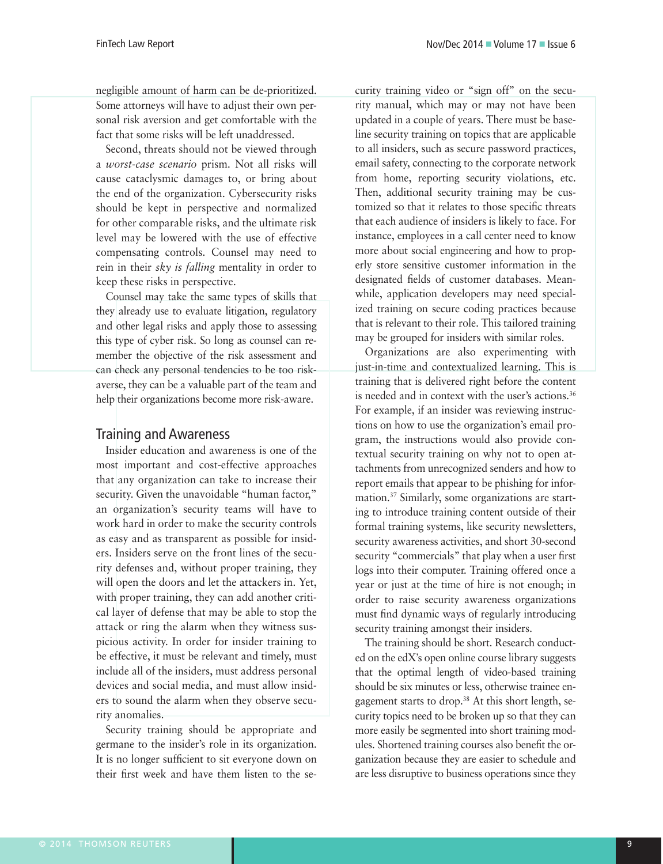negligible amount of harm can be de-prioritized. Some attorneys will have to adjust their own personal risk aversion and get comfortable with the fact that some risks will be left unaddressed.

Second, threats should not be viewed through a *worst-case scenario* prism. Not all risks will cause cataclysmic damages to, or bring about the end of the organization. Cybersecurity risks should be kept in perspective and normalized for other comparable risks, and the ultimate risk level may be lowered with the use of effective compensating controls. Counsel may need to rein in their *sky is falling* mentality in order to keep these risks in perspective.

Counsel may take the same types of skills that they already use to evaluate litigation, regulatory and other legal risks and apply those to assessing this type of cyber risk. So long as counsel can remember the objective of the risk assessment and can check any personal tendencies to be too riskaverse, they can be a valuable part of the team and help their organizations become more risk-aware.

## Training and Awareness

Insider education and awareness is one of the most important and cost-effective approaches that any organization can take to increase their security. Given the unavoidable "human factor," an organization's security teams will have to work hard in order to make the security controls as easy and as transparent as possible for insiders. Insiders serve on the front lines of the security defenses and, without proper training, they will open the doors and let the attackers in. Yet, with proper training, they can add another critical layer of defense that may be able to stop the attack or ring the alarm when they witness suspicious activity. In order for insider training to be effective, it must be relevant and timely, must include all of the insiders, must address personal devices and social media, and must allow insiders to sound the alarm when they observe security anomalies.

Security training should be appropriate and germane to the insider's role in its organization. It is no longer sufficient to sit everyone down on their first week and have them listen to the security training video or "sign off" on the security manual, which may or may not have been updated in a couple of years. There must be baseline security training on topics that are applicable to all insiders, such as secure password practices, email safety, connecting to the corporate network from home, reporting security violations, etc. Then, additional security training may be customized so that it relates to those specific threats that each audience of insiders is likely to face. For instance, employees in a call center need to know more about social engineering and how to properly store sensitive customer information in the designated fields of customer databases. Meanwhile, application developers may need specialized training on secure coding practices because that is relevant to their role. This tailored training may be grouped for insiders with similar roles.

Organizations are also experimenting with just-in-time and contextualized learning. This is training that is delivered right before the content is needed and in context with the user's actions.<sup>36</sup> For example, if an insider was reviewing instructions on how to use the organization's email program, the instructions would also provide contextual security training on why not to open attachments from unrecognized senders and how to report emails that appear to be phishing for information.37 Similarly, some organizations are starting to introduce training content outside of their formal training systems, like security newsletters, security awareness activities, and short 30-second security "commercials" that play when a user first logs into their computer. Training offered once a year or just at the time of hire is not enough; in order to raise security awareness organizations must find dynamic ways of regularly introducing security training amongst their insiders.

The training should be short. Research conducted on the edX's open online course library suggests that the optimal length of video-based training should be six minutes or less, otherwise trainee engagement starts to drop.38 At this short length, security topics need to be broken up so that they can more easily be segmented into short training modules. Shortened training courses also benefit the organization because they are easier to schedule and are less disruptive to business operations since they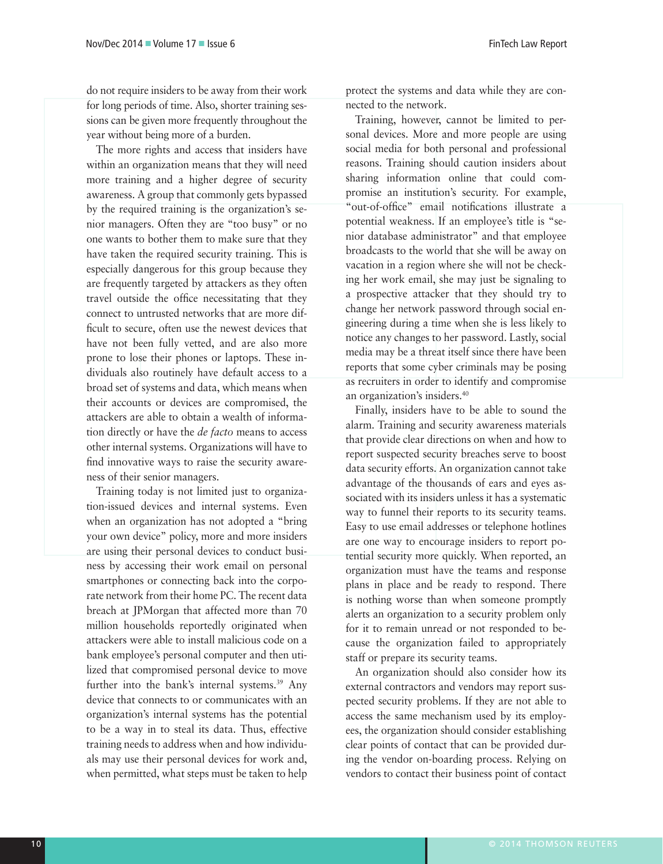do not require insiders to be away from their work for long periods of time. Also, shorter training sessions can be given more frequently throughout the year without being more of a burden.

The more rights and access that insiders have within an organization means that they will need more training and a higher degree of security awareness. A group that commonly gets bypassed by the required training is the organization's senior managers. Often they are "too busy" or no one wants to bother them to make sure that they have taken the required security training. This is especially dangerous for this group because they are frequently targeted by attackers as they often travel outside the office necessitating that they connect to untrusted networks that are more difficult to secure, often use the newest devices that have not been fully vetted, and are also more prone to lose their phones or laptops. These individuals also routinely have default access to a broad set of systems and data, which means when their accounts or devices are compromised, the attackers are able to obtain a wealth of information directly or have the *de facto* means to access other internal systems. Organizations will have to find innovative ways to raise the security awareness of their senior managers.

Training today is not limited just to organization-issued devices and internal systems. Even when an organization has not adopted a "bring your own device" policy, more and more insiders are using their personal devices to conduct business by accessing their work email on personal smartphones or connecting back into the corporate network from their home PC. The recent data breach at JPMorgan that affected more than 70 million households reportedly originated when attackers were able to install malicious code on a bank employee's personal computer and then utilized that compromised personal device to move further into the bank's internal systems.<sup>39</sup> Any device that connects to or communicates with an organization's internal systems has the potential to be a way in to steal its data. Thus, effective training needs to address when and how individuals may use their personal devices for work and, when permitted, what steps must be taken to help

protect the systems and data while they are connected to the network.

Training, however, cannot be limited to personal devices. More and more people are using social media for both personal and professional reasons. Training should caution insiders about sharing information online that could compromise an institution's security. For example, "out-of-office" email notifications illustrate a potential weakness. If an employee's title is "senior database administrator" and that employee broadcasts to the world that she will be away on vacation in a region where she will not be checking her work email, she may just be signaling to a prospective attacker that they should try to change her network password through social engineering during a time when she is less likely to notice any changes to her password. Lastly, social media may be a threat itself since there have been reports that some cyber criminals may be posing as recruiters in order to identify and compromise an organization's insiders.40

Finally, insiders have to be able to sound the alarm. Training and security awareness materials that provide clear directions on when and how to report suspected security breaches serve to boost data security efforts. An organization cannot take advantage of the thousands of ears and eyes associated with its insiders unless it has a systematic way to funnel their reports to its security teams. Easy to use email addresses or telephone hotlines are one way to encourage insiders to report potential security more quickly. When reported, an organization must have the teams and response plans in place and be ready to respond. There is nothing worse than when someone promptly alerts an organization to a security problem only for it to remain unread or not responded to because the organization failed to appropriately staff or prepare its security teams.

An organization should also consider how its external contractors and vendors may report suspected security problems. If they are not able to access the same mechanism used by its employees, the organization should consider establishing clear points of contact that can be provided during the vendor on-boarding process. Relying on vendors to contact their business point of contact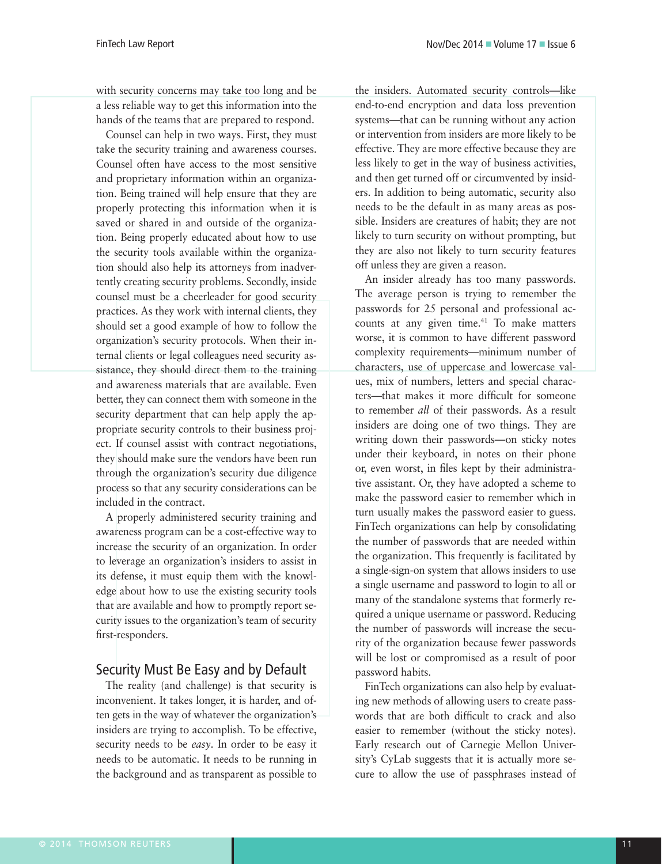with security concerns may take too long and be a less reliable way to get this information into the hands of the teams that are prepared to respond.

Counsel can help in two ways. First, they must take the security training and awareness courses. Counsel often have access to the most sensitive and proprietary information within an organization. Being trained will help ensure that they are properly protecting this information when it is saved or shared in and outside of the organization. Being properly educated about how to use the security tools available within the organization should also help its attorneys from inadvertently creating security problems. Secondly, inside counsel must be a cheerleader for good security practices. As they work with internal clients, they should set a good example of how to follow the organization's security protocols. When their internal clients or legal colleagues need security assistance, they should direct them to the training and awareness materials that are available. Even better, they can connect them with someone in the security department that can help apply the appropriate security controls to their business project. If counsel assist with contract negotiations, they should make sure the vendors have been run through the organization's security due diligence process so that any security considerations can be included in the contract.

A properly administered security training and awareness program can be a cost-effective way to increase the security of an organization. In order to leverage an organization's insiders to assist in its defense, it must equip them with the knowledge about how to use the existing security tools that are available and how to promptly report security issues to the organization's team of security first-responders.

## Security Must Be Easy and by Default

The reality (and challenge) is that security is inconvenient. It takes longer, it is harder, and often gets in the way of whatever the organization's insiders are trying to accomplish. To be effective, security needs to be *easy*. In order to be easy it needs to be automatic. It needs to be running in the background and as transparent as possible to the insiders. Automated security controls—like end-to-end encryption and data loss prevention systems—that can be running without any action or intervention from insiders are more likely to be effective. They are more effective because they are less likely to get in the way of business activities, and then get turned off or circumvented by insiders. In addition to being automatic, security also needs to be the default in as many areas as possible. Insiders are creatures of habit; they are not likely to turn security on without prompting, but they are also not likely to turn security features off unless they are given a reason.

An insider already has too many passwords. The average person is trying to remember the passwords for 25 personal and professional accounts at any given time.<sup>41</sup> To make matters worse, it is common to have different password complexity requirements—minimum number of characters, use of uppercase and lowercase values, mix of numbers, letters and special characters—that makes it more difficult for someone to remember *all* of their passwords. As a result insiders are doing one of two things. They are writing down their passwords—on sticky notes under their keyboard, in notes on their phone or, even worst, in files kept by their administrative assistant. Or, they have adopted a scheme to make the password easier to remember which in turn usually makes the password easier to guess. FinTech organizations can help by consolidating the number of passwords that are needed within the organization. This frequently is facilitated by a single-sign-on system that allows insiders to use a single username and password to login to all or many of the standalone systems that formerly required a unique username or password. Reducing the number of passwords will increase the security of the organization because fewer passwords will be lost or compromised as a result of poor password habits.

FinTech organizations can also help by evaluating new methods of allowing users to create passwords that are both difficult to crack and also easier to remember (without the sticky notes). Early research out of Carnegie Mellon University's CyLab suggests that it is actually more secure to allow the use of passphrases instead of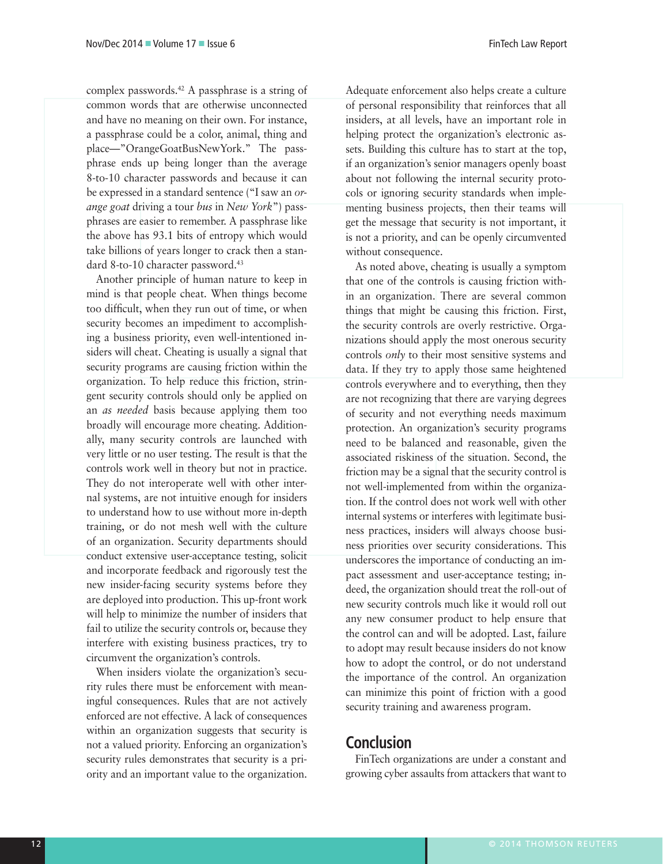complex passwords.42 A passphrase is a string of common words that are otherwise unconnected and have no meaning on their own. For instance, a passphrase could be a color, animal, thing and place—"OrangeGoatBusNewYork." The passphrase ends up being longer than the average 8-to-10 character passwords and because it can be expressed in a standard sentence ("I saw an *orange goat* driving a tour *bus* in *New York*") passphrases are easier to remember. A passphrase like the above has 93.1 bits of entropy which would take billions of years longer to crack then a standard 8-to-10 character password.<sup>43</sup>

Another principle of human nature to keep in mind is that people cheat. When things become too difficult, when they run out of time, or when security becomes an impediment to accomplishing a business priority, even well-intentioned insiders will cheat. Cheating is usually a signal that security programs are causing friction within the organization. To help reduce this friction, stringent security controls should only be applied on an *as needed* basis because applying them too broadly will encourage more cheating. Additionally, many security controls are launched with very little or no user testing. The result is that the controls work well in theory but not in practice. They do not interoperate well with other internal systems, are not intuitive enough for insiders to understand how to use without more in-depth training, or do not mesh well with the culture of an organization. Security departments should conduct extensive user-acceptance testing, solicit and incorporate feedback and rigorously test the new insider-facing security systems before they are deployed into production. This up-front work will help to minimize the number of insiders that fail to utilize the security controls or, because they interfere with existing business practices, try to circumvent the organization's controls.

When insiders violate the organization's security rules there must be enforcement with meaningful consequences. Rules that are not actively enforced are not effective. A lack of consequences within an organization suggests that security is not a valued priority. Enforcing an organization's security rules demonstrates that security is a priority and an important value to the organization.

Adequate enforcement also helps create a culture of personal responsibility that reinforces that all insiders, at all levels, have an important role in helping protect the organization's electronic assets. Building this culture has to start at the top, if an organization's senior managers openly boast about not following the internal security protocols or ignoring security standards when implementing business projects, then their teams will get the message that security is not important, it is not a priority, and can be openly circumvented without consequence.

As noted above, cheating is usually a symptom that one of the controls is causing friction within an organization. There are several common things that might be causing this friction. First, the security controls are overly restrictive. Organizations should apply the most onerous security controls *only* to their most sensitive systems and data. If they try to apply those same heightened controls everywhere and to everything, then they are not recognizing that there are varying degrees of security and not everything needs maximum protection. An organization's security programs need to be balanced and reasonable, given the associated riskiness of the situation. Second, the friction may be a signal that the security control is not well-implemented from within the organization. If the control does not work well with other internal systems or interferes with legitimate business practices, insiders will always choose business priorities over security considerations. This underscores the importance of conducting an impact assessment and user-acceptance testing; indeed, the organization should treat the roll-out of new security controls much like it would roll out any new consumer product to help ensure that the control can and will be adopted. Last, failure to adopt may result because insiders do not know how to adopt the control, or do not understand the importance of the control. An organization can minimize this point of friction with a good security training and awareness program.

# **Conclusion**

FinTech organizations are under a constant and growing cyber assaults from attackers that want to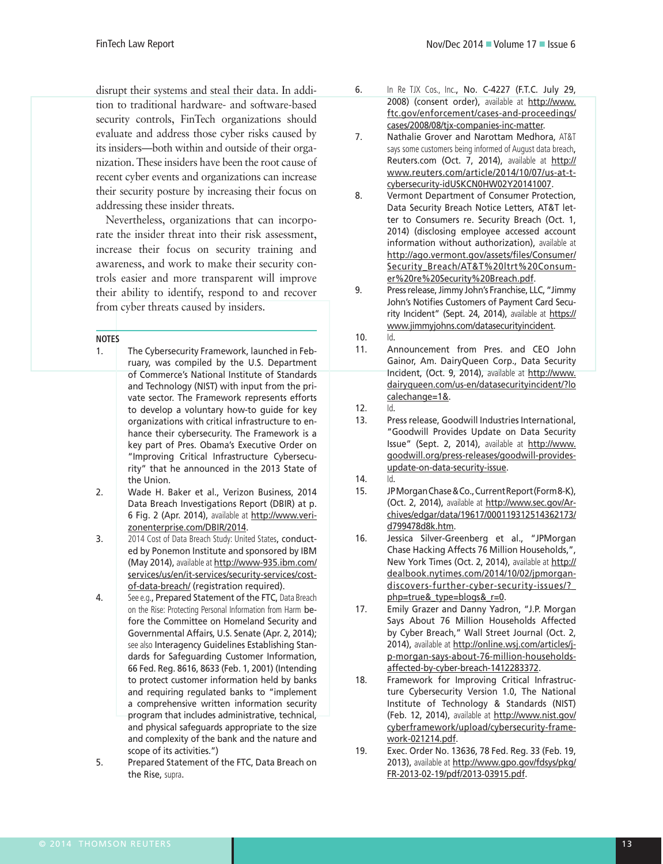disrupt their systems and steal their data. In addition to traditional hardware- and software-based security controls, FinTech organizations should evaluate and address those cyber risks caused by its insiders—both within and outside of their organization. These insiders have been the root cause of recent cyber events and organizations can increase their security posture by increasing their focus on addressing these insider threats.

Nevertheless, organizations that can incorporate the insider threat into their risk assessment, increase their focus on security training and awareness, and work to make their security controls easier and more transparent will improve their ability to identify, respond to and recover from cyber threats caused by insiders.

#### **NOTES**

- 1. The Cybersecurity Framework, launched in February, was compiled by the U.S. Department of Commerce's National Institute of Standards and Technology (NIST) with input from the private sector. The Framework represents efforts to develop a voluntary how-to guide for key organizations with critical infrastructure to enhance their cybersecurity. The Framework is a key part of Pres. Obama's Executive Order on "Improving Critical Infrastructure Cybersecurity" that he announced in the 2013 State of the Union.
- 2. Wade H. Baker et al., Verizon Business, 2014 Data Breach Investigations Report (DBIR) at p. 6 Fig. 2 (Apr. 2014), available at http://www.verizonenterprise.com/DBIR/2014.
- 3. 2014 Cost of Data Breach Study: United States, conducted by Ponemon Institute and sponsored by IBM (May 2014), available at http://www-935.ibm.com/ services/us/en/it-services/security-services/costof-data-breach/ (registration required).
- 4. See e.g., Prepared Statement of the FTC, Data Breach on the Rise: Protecting Personal Information from Harm before the Committee on Homeland Security and Governmental Affairs, U.S. Senate (Apr. 2, 2014); see also Interagency Guidelines Establishing Standards for Safeguarding Customer Information, 66 Fed. Reg. 8616, 8633 (Feb. 1, 2001) (Intending to protect customer information held by banks and requiring regulated banks to "implement a comprehensive written information security program that includes administrative, technical, and physical safeguards appropriate to the size and complexity of the bank and the nature and scope of its activities.")
- 5. Prepared Statement of the FTC, Data Breach on the Rise, supra.
- 6. In Re TJX Cos., Inc., No. C-4227 (F.T.C. July 29, 2008) (consent order), available at http://www. ftc.gov/enforcement/cases-and-proceedings/ cases/2008/08/tjx-companies-inc-matter.
- 7. Nathalie Grover and Narottam Medhora, AT&T says some customers being informed of August data breach, Reuters.com (Oct. 7, 2014), available at http:// www.reuters.com/article/2014/10/07/us-at-tcybersecurity-idUSKCN0HW02Y20141007.
- 8. Vermont Department of Consumer Protection, Data Security Breach Notice Letters, AT&T letter to Consumers re. Security Breach (Oct. 1, 2014) (disclosing employee accessed account information without authorization), available at http://ago.vermont.gov/assets/files/Consumer/ Security\_Breach/AT&T%20ltrt%20Consumer%20re%20Security%20Breach.pdf.
- 9. Press release, Jimmy John's Franchise, LLC, "Jimmy John's Notifies Customers of Payment Card Security Incident" (Sept. 24, 2014), available at https:// www.jimmyjohns.com/datasecurityincident.
- 10. Id.
- 11. Announcement from Pres. and CEO John Gainor, Am. DairyQueen Corp., Data Security Incident, (Oct. 9, 2014), available at http://www. dairyqueen.com/us-en/datasecurityincident/?lo calechange=1&.
- 12. Id.
- 13. Press release, Goodwill Industries International, "Goodwill Provides Update on Data Security Issue" (Sept. 2, 2014), available at http://www. goodwill.org/press-releases/goodwill-providesupdate-on-data-security-issue.
- 14. Id.
- 15. JP Morgan Chase & Co., Current Report (Form 8-K), (Oct. 2, 2014), available at http://www.sec.gov/Archives/edgar/data/19617/000119312514362173/ d799478d8k.htm.
- 16. Jessica Silver-Greenberg et al., "JPMorgan Chase Hacking Affects 76 Million Households,", New York Times (Oct. 2, 2014), available at http:// dealbook.nytimes.com/2014/10/02/jpmorgandiscovers-further-cyber-security-issues/?\_ php=true&\_type=blogs&\_r=0.
- 17. Emily Grazer and Danny Yadron, "J.P. Morgan Says About 76 Million Households Affected by Cyber Breach," Wall Street Journal (Oct. 2, 2014), available at http://online.wsj.com/articles/jp-morgan-says-about-76-million-householdsaffected-by-cyber-breach-1412283372.
- 18. Framework for Improving Critical Infrastructure Cybersecurity Version 1.0, The National Institute of Technology & Standards (NIST) (Feb. 12, 2014), available at http://www.nist.gov/ cyberframework/upload/cybersecurity-framework-021214.pdf.
- 19. Exec. Order No. 13636, 78 Fed. Reg. 33 (Feb. 19, 2013), available at http://www.gpo.gov/fdsys/pkg/ FR-2013-02-19/pdf/2013-03915.pdf.